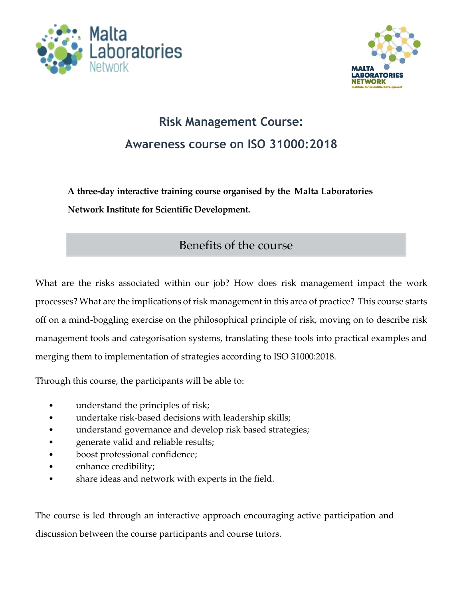



## **Risk Management Course: Awareness course on ISO 31000:2018**

**A three-day interactive training course organised by the Malta Laboratories Network Institute for Scientific Development.**

## Benefits of the course

What are the risks associated within our job? How does risk management impact the work processes? What are the implications of risk management in this area of practice? This course starts off on a mind-boggling exercise on the philosophical principle of risk, moving on to describe risk management tools and categorisation systems, translating these tools into practical examples and merging them to implementation of strategies according to ISO 31000:2018.

Through this course, the participants will be able to:

- understand the principles of risk;
- undertake risk-based decisions with leadership skills;
- understand governance and develop risk based strategies;
- generate valid and reliable results;
- boost professional confidence;
- enhance credibility;
- share ideas and network with experts in the field.

The course is led through an interactive approach encouraging active participation and discussion between the course participants and course tutors.